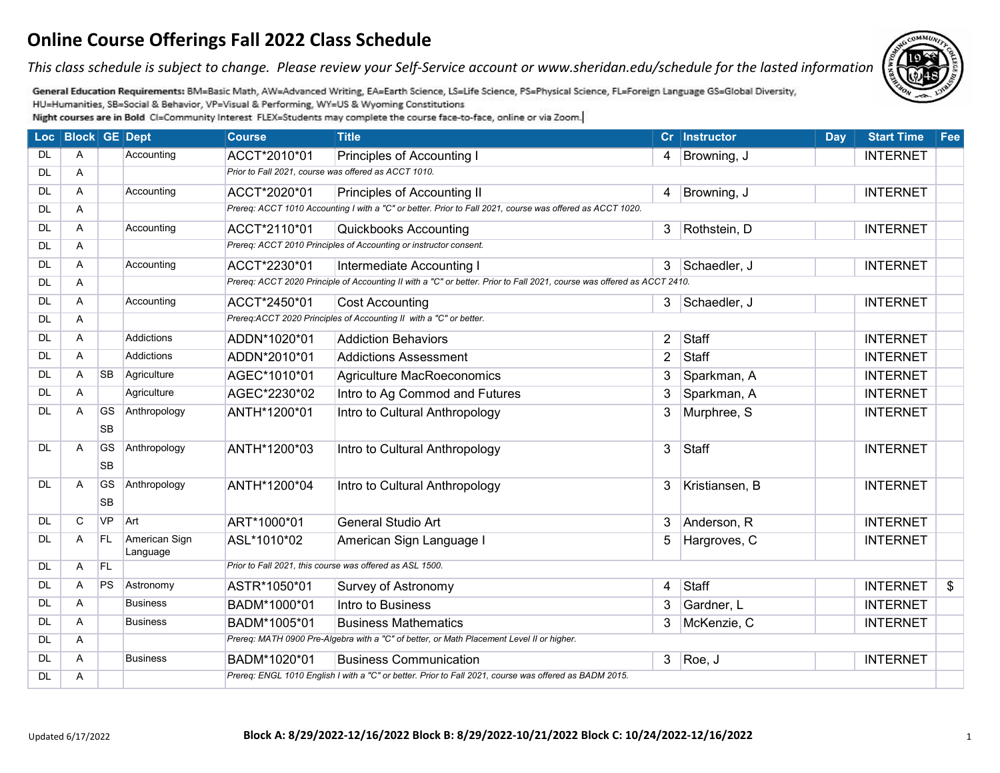*This class schedule is subject to change. Please review your Self-Service account or www.sheridan.edu/schedule for the lasted information.*



General Education Requirements: BM=Basic Math, AW=Advanced Writing, EA=Earth Science, LS=Life Science, PS=Physical Science, FL=Foreign Language GS=Global Diversity, HU=Humanities, SB=Social & Behavior, VP=Visual & Performing, WY=US & Wyoming Constitutions

|           | Loc   Block   GE   Dept |                        |                           | <b>Course</b> | <b>Title</b>                                                                                                            |                | Cr Instructor  | <b>Day</b> | <b>Start Time</b> | Fee |
|-----------|-------------------------|------------------------|---------------------------|---------------|-------------------------------------------------------------------------------------------------------------------------|----------------|----------------|------------|-------------------|-----|
| <b>DL</b> | A                       |                        | Accounting                | ACCT*2010*01  | Principles of Accounting I                                                                                              | 4              | Browning, J    |            | <b>INTERNET</b>   |     |
| <b>DL</b> | A                       |                        |                           |               | Prior to Fall 2021, course was offered as ACCT 1010.                                                                    |                |                |            |                   |     |
| <b>DL</b> | A                       |                        | Accounting                | ACCT*2020*01  | Principles of Accounting II                                                                                             | 4              | Browning, J    |            | <b>INTERNET</b>   |     |
| <b>DL</b> | A                       |                        |                           |               | Prereq: ACCT 1010 Accounting I with a "C" or better. Prior to Fall 2021, course was offered as ACCT 1020.               |                |                |            |                   |     |
| <b>DL</b> | A                       |                        | Accounting                | ACCT*2110*01  | <b>Quickbooks Accounting</b>                                                                                            | 3              | Rothstein, D   |            | <b>INTERNET</b>   |     |
| <b>DL</b> | A                       |                        |                           |               | Prereq: ACCT 2010 Principles of Accounting or instructor consent.                                                       |                |                |            |                   |     |
| <b>DL</b> | Α                       |                        | Accounting                | ACCT*2230*01  | Intermediate Accounting I                                                                                               | 3              | Schaedler, J   |            | <b>INTERNET</b>   |     |
| <b>DL</b> | A                       |                        |                           |               | Prereq: ACCT 2020 Principle of Accounting II with a "C" or better. Prior to Fall 2021, course was offered as ACCT 2410. |                |                |            |                   |     |
| <b>DL</b> | A                       |                        | Accounting                | ACCT*2450*01  | <b>Cost Accounting</b>                                                                                                  | 3              | Schaedler, J   |            | <b>INTERNET</b>   |     |
| <b>DL</b> | A                       |                        |                           |               | Prereq:ACCT 2020 Principles of Accounting II with a "C" or better.                                                      |                |                |            |                   |     |
| DL        | A                       |                        | Addictions                | ADDN*1020*01  | <b>Addiction Behaviors</b>                                                                                              | $\overline{2}$ | Staff          |            | <b>INTERNET</b>   |     |
| <b>DL</b> | A                       |                        | <b>Addictions</b>         | ADDN*2010*01  | <b>Addictions Assessment</b>                                                                                            | $\overline{2}$ | Staff          |            | <b>INTERNET</b>   |     |
| <b>DL</b> | A                       | <b>SB</b>              | Agriculture               | AGEC*1010*01  | Agriculture MacRoeconomics                                                                                              | 3              | Sparkman, A    |            | <b>INTERNET</b>   |     |
| <b>DL</b> | A                       |                        | Agriculture               | AGEC*2230*02  | Intro to Ag Commod and Futures                                                                                          | 3              | Sparkman, A    |            | <b>INTERNET</b>   |     |
| <b>DL</b> | A                       | <b>GS</b>              | Anthropology              | ANTH*1200*01  | Intro to Cultural Anthropology                                                                                          | 3              | Murphree, S    |            | <b>INTERNET</b>   |     |
|           |                         | <b>SB</b>              |                           |               |                                                                                                                         |                |                |            |                   |     |
| DL        | A                       | <b>GS</b>              | Anthropology              | ANTH*1200*03  | Intro to Cultural Anthropology                                                                                          | 3              | Staff          |            | <b>INTERNET</b>   |     |
|           |                         | <b>SB</b>              |                           |               |                                                                                                                         |                |                |            |                   |     |
| <b>DL</b> | A                       | <b>GS</b><br><b>SB</b> | Anthropology              | ANTH*1200*04  | Intro to Cultural Anthropology                                                                                          |                | Kristiansen, B |            | <b>INTERNET</b>   |     |
| <b>DL</b> | C                       | <b>VP</b>              | Art                       |               |                                                                                                                         |                |                |            |                   |     |
|           |                         |                        |                           | ART*1000*01   | <b>General Studio Art</b>                                                                                               | 3              | Anderson, R    |            | <b>INTERNET</b>   |     |
| <b>DL</b> | A                       | <b>FL</b>              | American Sign<br>Language | ASL*1010*02   | American Sign Language I                                                                                                | 5              | Hargroves, C   |            | <b>INTERNET</b>   |     |
| <b>DL</b> | A                       | FL                     |                           |               | Prior to Fall 2021, this course was offered as ASL 1500.                                                                |                |                |            |                   |     |
| <b>DL</b> | A                       | PS                     | Astronomy                 | ASTR*1050*01  | Survey of Astronomy                                                                                                     | 4              | Staff          |            | <b>INTERNET</b>   | \$  |
| <b>DL</b> | A                       |                        | <b>Business</b>           | BADM*1000*01  | Intro to Business                                                                                                       | 3              | Gardner, L     |            | <b>INTERNET</b>   |     |
| <b>DL</b> | A                       |                        | Business                  | BADM*1005*01  | <b>Business Mathematics</b>                                                                                             | 3              | McKenzie, C    |            | <b>INTERNET</b>   |     |
| <b>DL</b> | Α                       |                        |                           |               | Prereq: MATH 0900 Pre-Algebra with a "C" of better, or Math Placement Level II or higher.                               |                |                |            |                   |     |
| <b>DL</b> | A                       |                        | <b>Business</b>           | BADM*1020*01  | <b>Business Communication</b>                                                                                           |                | $3$ Roe, J     |            | <b>INTERNET</b>   |     |
| <b>DL</b> | Α                       |                        |                           |               | Prereq: ENGL 1010 English I with a "C" or better. Prior to Fall 2021, course was offered as BADM 2015.                  |                |                |            |                   |     |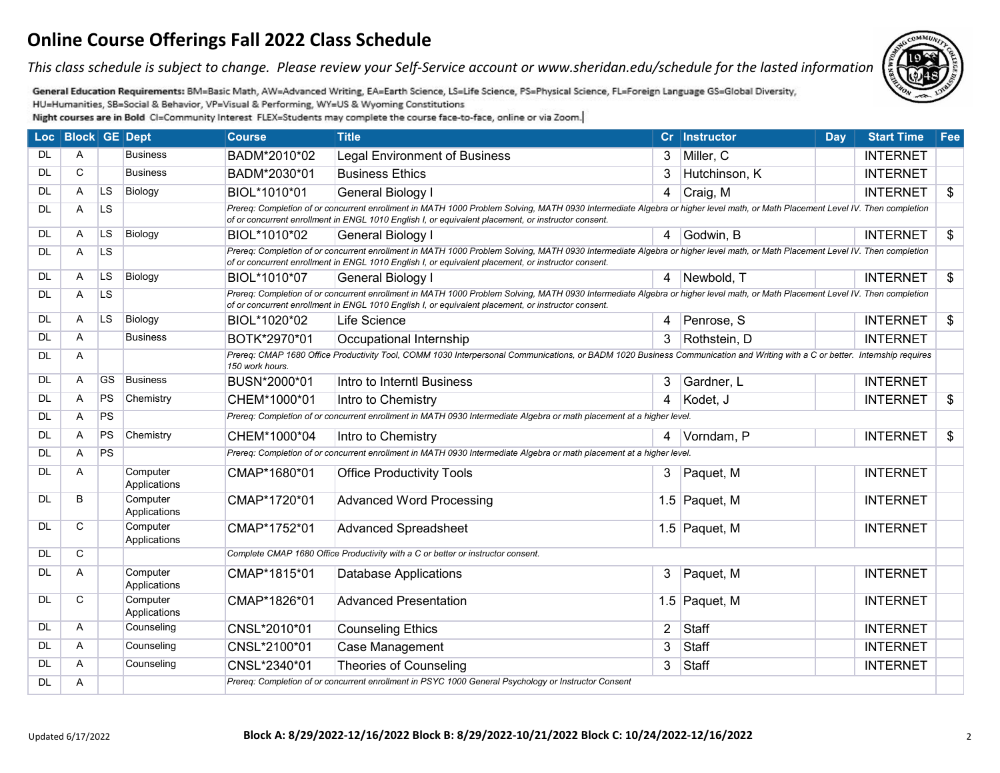*This class schedule is subject to change. Please review your Self-Service account or www.sheridan.edu/schedule for the lasted information.*



General Education Requirements: BM=Basic Math, AW=Advanced Writing, EA=Earth Science, LS=Life Science, PS=Physical Science, FL=Foreign Language GS=Global Diversity, HU=Humanities, SB=Social & Behavior, VP=Visual & Performing, WY=US & Wyoming Constitutions

|           | Loc   Block   GE   Dept |           |                          | <b>Course</b>   | <b>Title</b>                                                                                                                                                                                                                                                                         |                | Cr Instructor | <b>Day</b> | <b>Start Time</b> | Fee                       |
|-----------|-------------------------|-----------|--------------------------|-----------------|--------------------------------------------------------------------------------------------------------------------------------------------------------------------------------------------------------------------------------------------------------------------------------------|----------------|---------------|------------|-------------------|---------------------------|
| DL        | A                       |           | <b>Business</b>          | BADM*2010*02    | <b>Legal Environment of Business</b>                                                                                                                                                                                                                                                 | 3              | Miller, C     |            | <b>INTERNET</b>   |                           |
| <b>DL</b> | C                       |           | <b>Business</b>          | BADM*2030*01    | <b>Business Ethics</b>                                                                                                                                                                                                                                                               | 3              | Hutchinson, K |            | <b>INTERNET</b>   |                           |
| <b>DL</b> | A                       | <b>LS</b> | Biology                  | BIOL*1010*01    | <b>General Biology I</b>                                                                                                                                                                                                                                                             | $\overline{4}$ | Craig, M      |            | <b>INTERNET</b>   | $\boldsymbol{\mathsf{s}}$ |
| DL        | A                       | <b>LS</b> |                          |                 | Prereq: Completion of or concurrent enrollment in MATH 1000 Problem Solving, MATH 0930 Intermediate Algebra or higher level math, or Math Placement Level IV. Then completion<br>of or concurrent enrollment in ENGL 1010 English I, or equivalent placement, or instructor consent. |                |               |            |                   |                           |
| DL        | A                       | <b>LS</b> | Biology                  | BIOL*1010*02    | General Biology I                                                                                                                                                                                                                                                                    | $\overline{4}$ | Godwin, B     |            | <b>INTERNET</b>   | \$                        |
| <b>DL</b> | A                       | <b>LS</b> |                          |                 | Prereq: Completion of or concurrent enrollment in MATH 1000 Problem Solving, MATH 0930 Intermediate Algebra or higher level math, or Math Placement Level IV. Then completion<br>of or concurrent enrollment in ENGL 1010 English I, or equivalent placement, or instructor consent. |                |               |            |                   |                           |
| <b>DL</b> | A                       | <b>LS</b> | Biology                  | BIOL*1010*07    | General Biology I                                                                                                                                                                                                                                                                    |                | 4 Newbold, T  |            | <b>INTERNET</b>   | \$                        |
| DL        | A                       | <b>LS</b> |                          |                 | Prereq: Completion of or concurrent enrollment in MATH 1000 Problem Solving, MATH 0930 Intermediate Algebra or higher level math, or Math Placement Level IV. Then completion<br>of or concurrent enrollment in ENGL 1010 English I, or equivalent placement, or instructor consent. |                |               |            |                   |                           |
| <b>DL</b> | Α                       | <b>LS</b> | Biology                  | BIOL*1020*02    | <b>Life Science</b>                                                                                                                                                                                                                                                                  | $\overline{4}$ | Penrose, S    |            | <b>INTERNET</b>   | $\boldsymbol{\$}$         |
| <b>DL</b> | A                       |           | <b>Business</b>          | BOTK*2970*01    | Occupational Internship                                                                                                                                                                                                                                                              | 3              | Rothstein, D  |            | <b>INTERNET</b>   |                           |
| DL        | A                       |           |                          | 150 work hours. | Prereq: CMAP 1680 Office Productivity Tool, COMM 1030 Interpersonal Communications, or BADM 1020 Business Communication and Writing with a C or better. Internship requires                                                                                                          |                |               |            |                   |                           |
| <b>DL</b> | A                       | GS        | <b>Business</b>          | BUSN*2000*01    | Intro to Interntl Business                                                                                                                                                                                                                                                           | 3              | Gardner, L    |            | <b>INTERNET</b>   |                           |
| <b>DL</b> | A                       | PS        | Chemistry                | CHEM*1000*01    | Intro to Chemistry                                                                                                                                                                                                                                                                   | $\overline{4}$ | Kodet, J      |            | <b>INTERNET</b>   | $\boldsymbol{\$}$         |
| DL        | Α                       | <b>PS</b> |                          |                 | Prereq: Completion of or concurrent enrollment in MATH 0930 Intermediate Algebra or math placement at a higher level.                                                                                                                                                                |                |               |            |                   |                           |
| <b>DL</b> | A                       | PS        | Chemistry                | CHEM*1000*04    | Intro to Chemistry                                                                                                                                                                                                                                                                   | 4              | Vorndam, P    |            | <b>INTERNET</b>   | \$                        |
| DL        | A                       | PS        |                          |                 | Prereq: Completion of or concurrent enrollment in MATH 0930 Intermediate Algebra or math placement at a higher level.                                                                                                                                                                |                |               |            |                   |                           |
| DL        | A                       |           | Computer<br>Applications | CMAP*1680*01    | <b>Office Productivity Tools</b>                                                                                                                                                                                                                                                     | 3              | Paquet, M     |            | <b>INTERNET</b>   |                           |
| DL        | B                       |           | Computer<br>Applications | CMAP*1720*01    | <b>Advanced Word Processing</b>                                                                                                                                                                                                                                                      |                | 1.5 Paquet, M |            | <b>INTERNET</b>   |                           |
| DL.       | C                       |           | Computer<br>Applications | CMAP*1752*01    | <b>Advanced Spreadsheet</b>                                                                                                                                                                                                                                                          |                | 1.5 Paquet, M |            | <b>INTERNET</b>   |                           |
| DL        | C                       |           |                          |                 | Complete CMAP 1680 Office Productivity with a C or better or instructor consent.                                                                                                                                                                                                     |                |               |            |                   |                           |
| <b>DL</b> | A                       |           | Computer<br>Applications | CMAP*1815*01    | <b>Database Applications</b>                                                                                                                                                                                                                                                         | 3              | Paquet, M     |            | <b>INTERNET</b>   |                           |
| DL        | С                       |           | Computer<br>Applications | CMAP*1826*01    | <b>Advanced Presentation</b>                                                                                                                                                                                                                                                         |                | 1.5 Paquet, M |            | <b>INTERNET</b>   |                           |
| DL        | A                       |           | Counseling               | CNSL*2010*01    | <b>Counseling Ethics</b>                                                                                                                                                                                                                                                             | $\overline{2}$ | Staff         |            | <b>INTERNET</b>   |                           |
| DL        | Α                       |           | Counseling               | CNSL*2100*01    | Case Management                                                                                                                                                                                                                                                                      | 3              | <b>Staff</b>  |            | <b>INTERNET</b>   |                           |
| DL        | A                       |           | Counseling               | CNSL*2340*01    | <b>Theories of Counseling</b>                                                                                                                                                                                                                                                        | $\mathbf{3}$   | Staff         |            | <b>INTERNET</b>   |                           |
| <b>DL</b> | A                       |           |                          |                 | Prereq: Completion of or concurrent enrollment in PSYC 1000 General Psychology or Instructor Consent                                                                                                                                                                                 |                |               |            |                   |                           |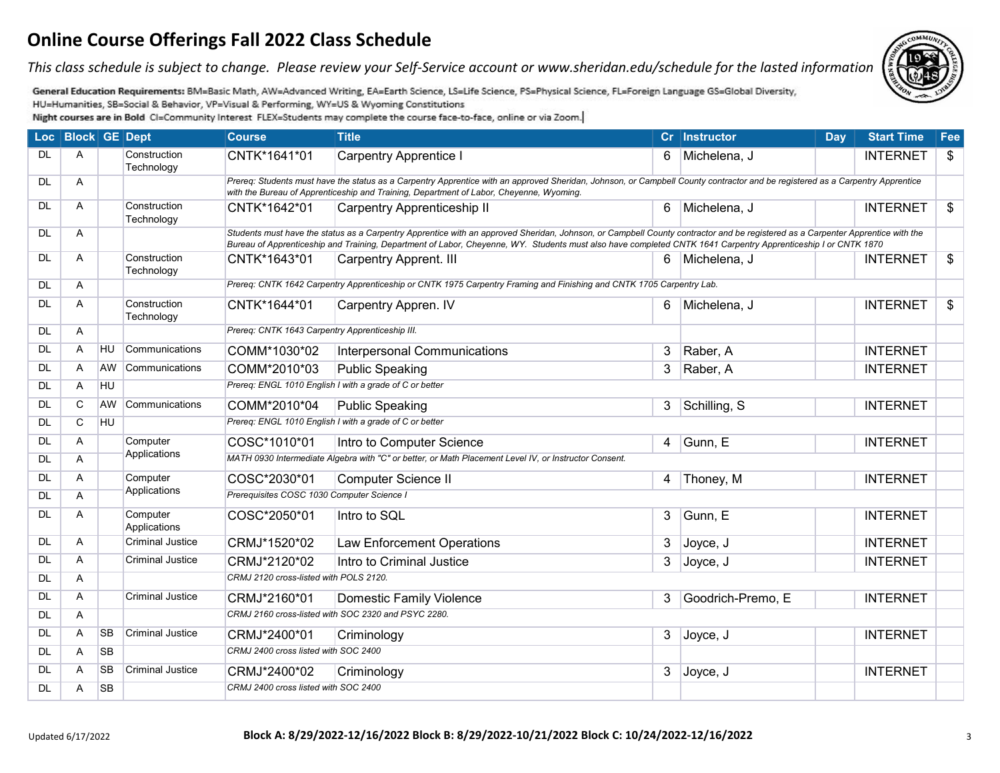*This class schedule is subject to change. Please review your Self-Service account or www.sheridan.edu/schedule for the lasted information.*

General Education Requirements: BM=Basic Math, AW=Advanced Writing, EA=Earth Science, LS=Life Science, PS=Physical Science, FL=Foreign Language GS=Global Diversity, HU=Humanities, SB=Social & Behavior, VP=Visual & Performing, WY=US & Wyoming Constitutions

|           | Loc   Block   GE   Dept |           |                            | <b>Course</b>                                   | <b>Title</b>                                                                                                                                                                                                                                                                                                                                    |                | Cr Instructor     | Day | <b>Start Time</b> | Fee |
|-----------|-------------------------|-----------|----------------------------|-------------------------------------------------|-------------------------------------------------------------------------------------------------------------------------------------------------------------------------------------------------------------------------------------------------------------------------------------------------------------------------------------------------|----------------|-------------------|-----|-------------------|-----|
| <b>DL</b> | A                       |           | Construction<br>Technology | CNTK*1641*01                                    | <b>Carpentry Apprentice I</b>                                                                                                                                                                                                                                                                                                                   | 6              | Michelena, J      |     | <b>INTERNET</b>   | \$  |
| <b>DL</b> | A                       |           |                            |                                                 | Prereg: Students must have the status as a Carpentry Apprentice with an approved Sheridan, Johnson, or Campbell County contractor and be registered as a Carpentry Apprentice<br>with the Bureau of Apprenticeship and Training, Department of Labor, Cheyenne, Wyoming.                                                                        |                |                   |     |                   |     |
| <b>DL</b> | A                       |           | Construction<br>Technology | CNTK*1642*01                                    | <b>Carpentry Apprenticeship II</b>                                                                                                                                                                                                                                                                                                              | 6              | Michelena, J      |     | <b>INTERNET</b>   | \$  |
| <b>DL</b> | A                       |           |                            |                                                 | Students must have the status as a Carpentry Apprentice with an approved Sheridan, Johnson, or Campbell County contractor and be registered as a Carpenter Apprentice with the<br>Bureau of Apprenticeship and Training, Department of Labor, Cheyenne, WY. Students must also have completed CNTK 1641 Carpentry Apprenticeship I or CNTK 1870 |                |                   |     |                   |     |
| <b>DL</b> | A                       |           | Construction<br>Technology | CNTK*1643*01                                    | <b>Carpentry Apprent. III</b>                                                                                                                                                                                                                                                                                                                   | 6              | Michelena, J      |     | <b>INTERNET</b>   | \$  |
| <b>DL</b> | A                       |           |                            |                                                 | Prereg: CNTK 1642 Carpentry Apprenticeship or CNTK 1975 Carpentry Framing and Finishing and CNTK 1705 Carpentry Lab.                                                                                                                                                                                                                            |                |                   |     |                   |     |
| <b>DL</b> | A                       |           | Construction<br>Technology | CNTK*1644*01                                    | Carpentry Appren. IV                                                                                                                                                                                                                                                                                                                            | 6              | Michelena, J      |     | <b>INTERNET</b>   | \$  |
| <b>DL</b> | A                       |           |                            | Prereq: CNTK 1643 Carpentry Apprenticeship III. |                                                                                                                                                                                                                                                                                                                                                 |                |                   |     |                   |     |
| <b>DL</b> | A                       | <b>HU</b> | Communications             | COMM*1030*02                                    | <b>Interpersonal Communications</b>                                                                                                                                                                                                                                                                                                             | 3              | Raber, A          |     | <b>INTERNET</b>   |     |
| <b>DL</b> | A                       | AW        | Communications             | COMM*2010*03                                    | <b>Public Speaking</b>                                                                                                                                                                                                                                                                                                                          | 3              | Raber, A          |     | <b>INTERNET</b>   |     |
| <b>DL</b> | A                       | <b>HU</b> |                            |                                                 | Prereq: ENGL 1010 English I with a grade of C or better                                                                                                                                                                                                                                                                                         |                |                   |     |                   |     |
| <b>DL</b> | C                       | AW        | Communications             | COMM*2010*04                                    | <b>Public Speaking</b>                                                                                                                                                                                                                                                                                                                          | 3              | Schilling, S      |     | <b>INTERNET</b>   |     |
| <b>DL</b> | $\mathsf{C}$            | <b>HU</b> |                            |                                                 | Prereq: ENGL 1010 English I with a grade of C or better                                                                                                                                                                                                                                                                                         |                |                   |     |                   |     |
| <b>DL</b> | A                       |           | Computer                   | COSC*1010*01                                    | Intro to Computer Science                                                                                                                                                                                                                                                                                                                       | $\overline{4}$ | Gunn, E           |     | <b>INTERNET</b>   |     |
| <b>DL</b> | A                       |           | Applications               |                                                 | MATH 0930 Intermediate Algebra with "C" or better, or Math Placement Level IV, or Instructor Consent.                                                                                                                                                                                                                                           |                |                   |     |                   |     |
| <b>DL</b> | Α                       |           | Computer                   | COSC*2030*01                                    | Computer Science II                                                                                                                                                                                                                                                                                                                             | 4              | Thoney, M         |     | <b>INTERNET</b>   |     |
| <b>DL</b> | A                       |           | Applications               | Prerequisites COSC 1030 Computer Science I      |                                                                                                                                                                                                                                                                                                                                                 |                |                   |     |                   |     |
| <b>DL</b> | A                       |           | Computer<br>Applications   | COSC*2050*01                                    | Intro to SQL                                                                                                                                                                                                                                                                                                                                    | 3              | Gunn, E           |     | <b>INTERNET</b>   |     |
| <b>DL</b> | A                       |           | <b>Criminal Justice</b>    | CRMJ*1520*02                                    | <b>Law Enforcement Operations</b>                                                                                                                                                                                                                                                                                                               | 3              | Joyce, J          |     | <b>INTERNET</b>   |     |
| <b>DL</b> | A                       |           | <b>Criminal Justice</b>    | CRMJ*2120*02                                    | Intro to Criminal Justice                                                                                                                                                                                                                                                                                                                       | 3              | Joyce, J          |     | <b>INTERNET</b>   |     |
| <b>DL</b> | A                       |           |                            | CRMJ 2120 cross-listed with POLS 2120.          |                                                                                                                                                                                                                                                                                                                                                 |                |                   |     |                   |     |
| <b>DL</b> | A                       |           | <b>Criminal Justice</b>    | CRMJ*2160*01                                    | Domestic Family Violence                                                                                                                                                                                                                                                                                                                        | 3              | Goodrich-Premo, E |     | <b>INTERNET</b>   |     |
| <b>DL</b> | A                       |           |                            |                                                 | CRMJ 2160 cross-listed with SOC 2320 and PSYC 2280.                                                                                                                                                                                                                                                                                             |                |                   |     |                   |     |
| <b>DL</b> | A                       | <b>SB</b> | <b>Criminal Justice</b>    | CRMJ*2400*01                                    | Criminology                                                                                                                                                                                                                                                                                                                                     | 3              | Joyce, J          |     | <b>INTERNET</b>   |     |
| <b>DL</b> | A                       | <b>SB</b> |                            | CRMJ 2400 cross listed with SOC 2400            |                                                                                                                                                                                                                                                                                                                                                 |                |                   |     |                   |     |
| <b>DL</b> | A                       | <b>SB</b> | <b>Criminal Justice</b>    | CRMJ*2400*02                                    | Criminology                                                                                                                                                                                                                                                                                                                                     |                | 3 Joyce, J        |     | <b>INTERNET</b>   |     |
| <b>DL</b> | A                       | <b>SB</b> |                            | CRMJ 2400 cross listed with SOC 2400            |                                                                                                                                                                                                                                                                                                                                                 |                |                   |     |                   |     |

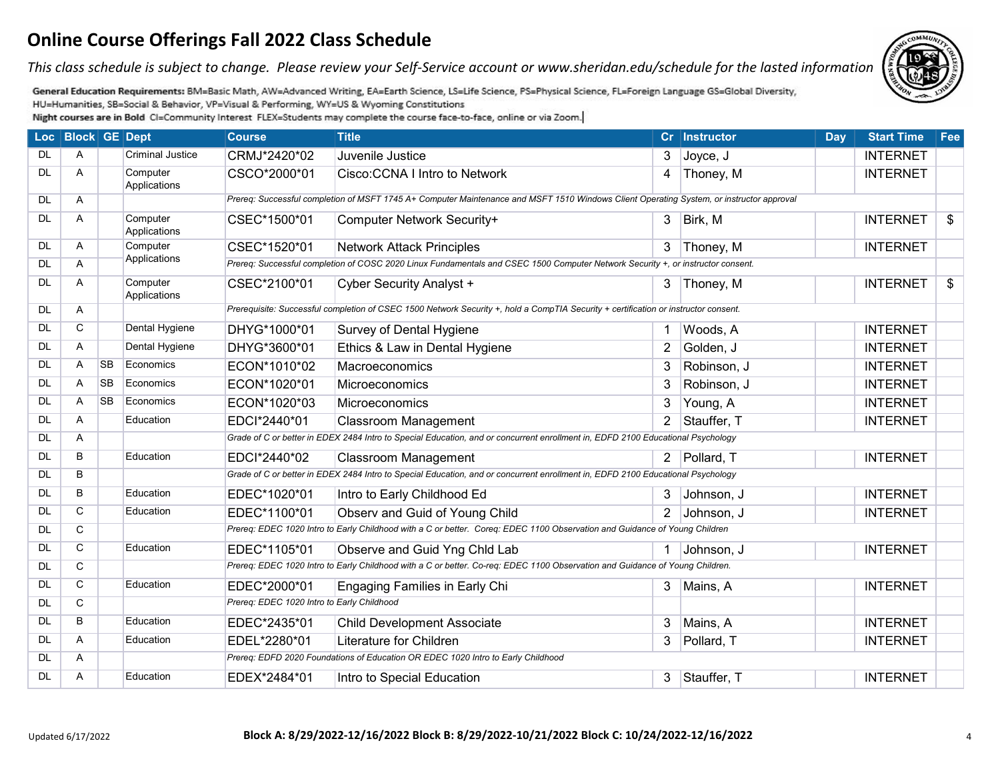*This class schedule is subject to change. Please review your Self-Service account or www.sheridan.edu/schedule for the lasted information.*



General Education Requirements: BM=Basic Math, AW=Advanced Writing, EA=Earth Science, LS=Life Science, PS=Physical Science, FL=Foreign Language GS=Global Diversity, HU=Humanities, SB=Social & Behavior, VP=Visual & Performing, WY=US & Wyoming Constitutions

|           | Loc   Block   GE   Dept |           |                          | <b>Course</b>                              | <b>Title</b>                                                                                                                             |                | Cr Instructor | <b>Day</b> | <b>Start Time</b> | Fee |
|-----------|-------------------------|-----------|--------------------------|--------------------------------------------|------------------------------------------------------------------------------------------------------------------------------------------|----------------|---------------|------------|-------------------|-----|
| DL.       | Α                       |           | <b>Criminal Justice</b>  | CRMJ*2420*02                               | Juvenile Justice                                                                                                                         | 3              | Joyce, J      |            | <b>INTERNET</b>   |     |
| <b>DL</b> | Α                       |           | Computer<br>Applications | CSCO*2000*01                               | Cisco: CCNA I Intro to Network                                                                                                           | 4              | Thoney, M     |            | <b>INTERNET</b>   |     |
| <b>DL</b> | Α                       |           |                          |                                            | Prereq: Successful completion of MSFT 1745 A+ Computer Maintenance and MSFT 1510 Windows Client Operating System, or instructor approval |                |               |            |                   |     |
| <b>DL</b> | Α                       |           | Computer<br>Applications | CSEC*1500*01                               | Computer Network Security+                                                                                                               |                | $3$  Birk, M  |            | <b>INTERNET</b>   | \$  |
| <b>DL</b> | A                       |           | Computer                 | CSEC*1520*01                               | <b>Network Attack Principles</b>                                                                                                         |                | 3 Thoney, M   |            | <b>INTERNET</b>   |     |
| <b>DL</b> | Α                       |           | Applications             |                                            | Prereq: Successful completion of COSC 2020 Linux Fundamentals and CSEC 1500 Computer Network Security +, or instructor consent.          |                |               |            |                   |     |
| <b>DL</b> | A                       |           | Computer<br>Applications | CSEC*2100*01                               | Cyber Security Analyst +                                                                                                                 | 3              | Thoney, M     |            | <b>INTERNET</b>   | \$  |
| <b>DL</b> | A                       |           |                          |                                            | Prerequisite: Successful completion of CSEC 1500 Network Security +, hold a CompTIA Security + certification or instructor consent.      |                |               |            |                   |     |
| <b>DL</b> | C                       |           | Dental Hygiene           | DHYG*1000*01                               | Survey of Dental Hygiene                                                                                                                 |                | Woods, A      |            | <b>INTERNET</b>   |     |
| <b>DL</b> | A                       |           | Dental Hygiene           | DHYG*3600*01                               | Ethics & Law in Dental Hygiene                                                                                                           | 2              | Golden, J     |            | <b>INTERNET</b>   |     |
| <b>DL</b> | A                       | <b>SB</b> | Economics                | ECON*1010*02                               | Macroeconomics                                                                                                                           | 3              | Robinson, J   |            | <b>INTERNET</b>   |     |
| <b>DL</b> | A                       | <b>SB</b> | Economics                | ECON*1020*01                               | Microeconomics                                                                                                                           | 3              | Robinson, J   |            | <b>INTERNET</b>   |     |
| <b>DL</b> | Α                       | <b>SB</b> | Economics                | ECON*1020*03                               | Microeconomics                                                                                                                           | 3              | Young, A      |            | <b>INTERNET</b>   |     |
| <b>DL</b> | A                       |           | Education                | EDCI*2440*01                               | <b>Classroom Management</b>                                                                                                              | $2^{\circ}$    | Stauffer, T   |            | <b>INTERNET</b>   |     |
| <b>DL</b> | A                       |           |                          |                                            | Grade of C or better in EDEX 2484 Intro to Special Education, and or concurrent enrollment in, EDFD 2100 Educational Psychology          |                |               |            |                   |     |
| <b>DL</b> | B                       |           | Education                | EDCI*2440*02                               | <b>Classroom Management</b>                                                                                                              |                | 2 Pollard, T  |            | <b>INTERNET</b>   |     |
| <b>DL</b> | B                       |           |                          |                                            | Grade of C or better in EDEX 2484 Intro to Special Education, and or concurrent enrollment in, EDFD 2100 Educational Psychology          |                |               |            |                   |     |
| <b>DL</b> | B                       |           | Education                | EDEC*1020*01                               | Intro to Early Childhood Ed                                                                                                              | 3              | Johnson, J    |            | <b>INTERNET</b>   |     |
| <b>DL</b> | C                       |           | Education                | EDEC*1100*01                               | Observ and Guid of Young Child                                                                                                           | 2 <sup>1</sup> | Johnson, J    |            | <b>INTERNET</b>   |     |
| <b>DL</b> | C                       |           |                          |                                            | Prereq: EDEC 1020 Intro to Early Childhood with a C or better. Coreq: EDEC 1100 Observation and Guidance of Young Children               |                |               |            |                   |     |
| <b>DL</b> | $\mathsf{C}$            |           | Education                | EDEC*1105*01                               | Observe and Guid Yng Chld Lab                                                                                                            |                | Johnson, J    |            | <b>INTERNET</b>   |     |
| <b>DL</b> | C                       |           |                          |                                            | Prereq: EDEC 1020 Intro to Early Childhood with a C or better. Co-req: EDEC 1100 Observation and Guidance of Young Children.             |                |               |            |                   |     |
| <b>DL</b> | C                       |           | Education                | EDEC*2000*01                               | <b>Engaging Families in Early Chi</b>                                                                                                    | 3              | Mains, A      |            | <b>INTERNET</b>   |     |
| <b>DL</b> | C                       |           |                          | Prereq: EDEC 1020 Intro to Early Childhood |                                                                                                                                          |                |               |            |                   |     |
| <b>DL</b> | B                       |           | Education                | EDEC*2435*01                               | <b>Child Development Associate</b>                                                                                                       | 3              | Mains, A      |            | <b>INTERNET</b>   |     |
| <b>DL</b> | A                       |           | Education                | EDEL*2280*01                               | Literature for Children                                                                                                                  | 3              | Pollard, T    |            | <b>INTERNET</b>   |     |
| <b>DL</b> | A                       |           |                          |                                            | Prereq: EDFD 2020 Foundations of Education OR EDEC 1020 Intro to Early Childhood                                                         |                |               |            |                   |     |
| <b>DL</b> | A                       |           | Education                | EDEX*2484*01                               | Intro to Special Education                                                                                                               |                | 3 Stauffer, T |            | <b>INTERNET</b>   |     |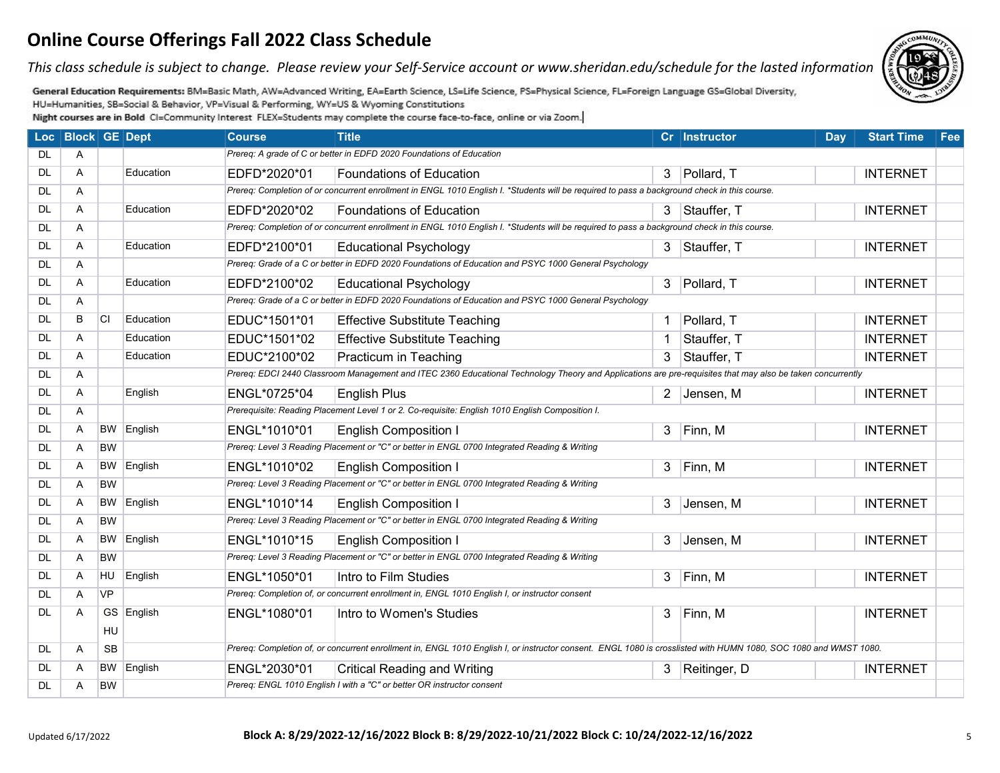*This class schedule is subject to change. Please review your Self-Service account or www.sheridan.edu/schedule for the lasted information.*

General Education Requirements: BM=Basic Math, AW=Advanced Writing, EA=Earth Science, LS=Life Science, PS=Physical Science, FL=Foreign Language GS=Global Diversity, HU=Humanities, SB=Social & Behavior, VP=Visual & Performing, WY=US & Wyoming Constitutions

|           | Loc   Block   GE   Dept |           |                   | <b>Course</b> | <b>Title</b>                                                                                                                                                     |                | Cr Instructor  | <b>Day</b> | <b>Start Time</b> | Fee |
|-----------|-------------------------|-----------|-------------------|---------------|------------------------------------------------------------------------------------------------------------------------------------------------------------------|----------------|----------------|------------|-------------------|-----|
| DL.       | A                       |           |                   |               | Prereq: A grade of C or better in EDFD 2020 Foundations of Education                                                                                             |                |                |            |                   |     |
| <b>DL</b> | A                       |           | Education         | EDFD*2020*01  | <b>Foundations of Education</b>                                                                                                                                  |                | 3 Pollard, T   |            | <b>INTERNET</b>   |     |
| <b>DL</b> | A                       |           |                   |               | Prereq: Completion of or concurrent enrollment in ENGL 1010 English I. *Students will be required to pass a background check in this course.                     |                |                |            |                   |     |
| <b>DL</b> | A                       |           | Education         | EDFD*2020*02  | <b>Foundations of Education</b>                                                                                                                                  |                | 3 Stauffer, T  |            | <b>INTERNET</b>   |     |
| <b>DL</b> | A                       |           |                   |               | Prereq: Completion of or concurrent enrollment in ENGL 1010 English I. *Students will be required to pass a background check in this course.                     |                |                |            |                   |     |
| <b>DL</b> | A                       |           | Education         | EDFD*2100*01  | <b>Educational Psychology</b>                                                                                                                                    | 3              | Stauffer, T    |            | <b>INTERNET</b>   |     |
| <b>DL</b> | A                       |           |                   |               | Prereg: Grade of a C or better in EDFD 2020 Foundations of Education and PSYC 1000 General Psychology                                                            |                |                |            |                   |     |
| <b>DL</b> | A                       |           | Education         | EDFD*2100*02  | <b>Educational Psychology</b>                                                                                                                                    |                | 3 Pollard, T   |            | <b>INTERNET</b>   |     |
| <b>DL</b> | A                       |           |                   |               | Prereg: Grade of a C or better in EDFD 2020 Foundations of Education and PSYC 1000 General Psychology                                                            |                |                |            |                   |     |
| <b>DL</b> | B                       | <b>CI</b> | Education         | EDUC*1501*01  | <b>Effective Substitute Teaching</b>                                                                                                                             |                | Pollard, T     |            | <b>INTERNET</b>   |     |
| <b>DL</b> | A                       |           | Education         | EDUC*1501*02  | <b>Effective Substitute Teaching</b>                                                                                                                             | $\overline{1}$ | Stauffer, T    |            | <b>INTERNET</b>   |     |
| <b>DL</b> | A                       |           | Education         | EDUC*2100*02  | Practicum in Teaching                                                                                                                                            | 3              | Stauffer, T    |            | <b>INTERNET</b>   |     |
| <b>DL</b> | Α                       |           |                   |               | Prereq: EDCI 2440 Classroom Management and ITEC 2360 Educational Technology Theory and Applications are pre-requisites that may also be taken concurrently       |                |                |            |                   |     |
| <b>DL</b> | A                       |           | English           | ENGL*0725*04  | <b>English Plus</b>                                                                                                                                              |                | 2 Jensen, M    |            | <b>INTERNET</b>   |     |
| <b>DL</b> | A                       |           |                   |               | Prerequisite: Reading Placement Level 1 or 2. Co-requisite: English 1010 English Composition I.                                                                  |                |                |            |                   |     |
| <b>DL</b> | A                       | <b>BW</b> | English           | ENGL*1010*01  | <b>English Composition I</b>                                                                                                                                     | $\mathbf{3}$   | Finn, M        |            | <b>INTERNET</b>   |     |
| <b>DL</b> | Α                       | <b>BW</b> |                   |               | Prereq: Level 3 Reading Placement or "C" or better in ENGL 0700 Integrated Reading & Writing                                                                     |                |                |            |                   |     |
| <b>DL</b> | A                       |           | <b>BW</b> English | ENGL*1010*02  | <b>English Composition I</b>                                                                                                                                     |                | 3 Finn, M      |            | <b>INTERNET</b>   |     |
| <b>DL</b> | A                       | <b>BW</b> |                   |               | Prereq: Level 3 Reading Placement or "C" or better in ENGL 0700 Integrated Reading & Writing                                                                     |                |                |            |                   |     |
| DL.       | A                       |           | <b>BW</b> English | ENGL*1010*14  | <b>English Composition I</b>                                                                                                                                     |                | 3 Jensen, M    |            | <b>INTERNET</b>   |     |
| <b>DL</b> | A                       | <b>BW</b> |                   |               | Prereq: Level 3 Reading Placement or "C" or better in ENGL 0700 Integrated Reading & Writing                                                                     |                |                |            |                   |     |
| <b>DL</b> | A                       |           | BW English        | ENGL*1010*15  | <b>English Composition I</b>                                                                                                                                     | $\mathbf{3}$   | Jensen, M      |            | <b>INTERNET</b>   |     |
| <b>DL</b> | A                       | <b>BW</b> |                   |               | Prereq: Level 3 Reading Placement or "C" or better in ENGL 0700 Integrated Reading & Writing                                                                     |                |                |            |                   |     |
| <b>DL</b> | A                       | HU        | English           | ENGL*1050*01  | Intro to Film Studies                                                                                                                                            |                | 3 Finn, M      |            | <b>INTERNET</b>   |     |
| <b>DL</b> | $\mathsf{A}$            | <b>VP</b> |                   |               | Prereq: Completion of, or concurrent enrollment in, ENGL 1010 English I, or instructor consent                                                                   |                |                |            |                   |     |
| <b>DL</b> | A                       |           | GS English        | ENGL*1080*01  | Intro to Women's Studies                                                                                                                                         | 3              | Finn, M        |            | <b>INTERNET</b>   |     |
|           |                         | HU        |                   |               |                                                                                                                                                                  |                |                |            |                   |     |
| <b>DL</b> | A                       | <b>SB</b> |                   |               | Prereq: Completion of, or concurrent enrollment in, ENGL 1010 English I, or instructor consent. ENGL 1080 is crosslisted with HUMN 1080, SOC 1080 and WMST 1080. |                |                |            |                   |     |
| <b>DL</b> | A                       |           | <b>BW</b> English | ENGL*2030*01  | <b>Critical Reading and Writing</b>                                                                                                                              |                | 3 Reitinger, D |            | <b>INTERNET</b>   |     |
| <b>DL</b> | A                       | <b>BW</b> |                   |               | Prereq: ENGL 1010 English I with a "C" or better OR instructor consent                                                                                           |                |                |            |                   |     |

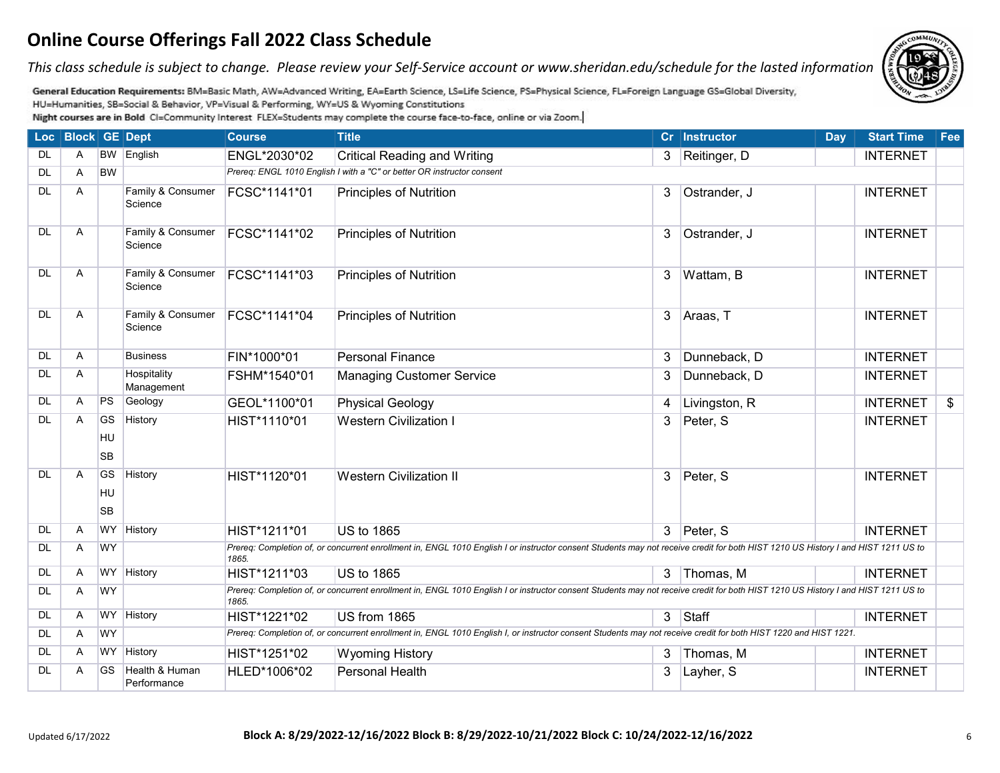*This class schedule is subject to change. Please review your Self-Service account or www.sheridan.edu/schedule for the lasted information.*



General Education Requirements: BM=Basic Math, AW=Advanced Writing, EA=Earth Science, LS=Life Science, PS=Physical Science, FL=Foreign Language GS=Global Diversity, HU=Humanities, SB=Social & Behavior, VP=Visual & Performing, WY=US & Wyoming Constitutions

|           | Loc   Block   GE   Dept |                              |                               | <b>Course</b> | <b>Title</b>                                                                                                                                                                      |                | Cr Instructor | Day | <b>Start Time</b> | Fee |
|-----------|-------------------------|------------------------------|-------------------------------|---------------|-----------------------------------------------------------------------------------------------------------------------------------------------------------------------------------|----------------|---------------|-----|-------------------|-----|
| <b>DL</b> | A                       |                              | BW English                    | ENGL*2030*02  | <b>Critical Reading and Writing</b>                                                                                                                                               | $3-1$          | Reitinger, D  |     | <b>INTERNET</b>   |     |
| <b>DL</b> | Α                       | <b>BW</b>                    |                               |               | Prereq: ENGL 1010 English I with a "C" or better OR instructor consent                                                                                                            |                |               |     |                   |     |
| <b>DL</b> | A                       |                              | Family & Consumer<br>Science  | FCSC*1141*01  | <b>Principles of Nutrition</b>                                                                                                                                                    | 3              | Ostrander, J  |     | <b>INTERNET</b>   |     |
| DL        | A                       |                              | Family & Consumer<br>Science  | FCSC*1141*02  | <b>Principles of Nutrition</b>                                                                                                                                                    | 3              | Ostrander, J  |     | <b>INTERNET</b>   |     |
| DL        | A                       |                              | Family & Consumer<br>Science  | FCSC*1141*03  | <b>Principles of Nutrition</b>                                                                                                                                                    | $\mathbf{3}$   | Wattam, B     |     | <b>INTERNET</b>   |     |
| <b>DL</b> | A                       |                              | Family & Consumer<br>Science  | FCSC*1141*04  | <b>Principles of Nutrition</b>                                                                                                                                                    | $\mathbf{3}$   | Araas, T      |     | <b>INTERNET</b>   |     |
| <b>DL</b> | A                       |                              | <b>Business</b>               | FIN*1000*01   | <b>Personal Finance</b>                                                                                                                                                           | 3              | Dunneback, D  |     | <b>INTERNET</b>   |     |
| <b>DL</b> | Α                       |                              | Hospitality<br>Management     | FSHM*1540*01  | <b>Managing Customer Service</b>                                                                                                                                                  | 3              | Dunneback, D  |     | <b>INTERNET</b>   |     |
| <b>DL</b> | Α                       | PS                           | Geology                       | GEOL*1100*01  | <b>Physical Geology</b>                                                                                                                                                           | 4              | Livingston, R |     | <b>INTERNET</b>   | \$  |
| <b>DL</b> | A                       | <b>GS</b><br>HU<br><b>SB</b> | History                       | HIST*1110*01  | <b>Western Civilization I</b>                                                                                                                                                     | 3              | Peter, S      |     | <b>INTERNET</b>   |     |
| DL        | A                       | GS<br>HU<br><b>SB</b>        | History                       | HIST*1120*01  | <b>Western Civilization II</b>                                                                                                                                                    | 3              | Peter, S      |     | <b>INTERNET</b>   |     |
| <b>DL</b> | Α                       | <b>WY</b>                    | History                       | HIST*1211*01  | <b>US to 1865</b>                                                                                                                                                                 |                | 3 Peter, S    |     | <b>INTERNET</b>   |     |
| <b>DL</b> | Α                       | <b>WY</b>                    |                               | 1865.         | Prereq: Completion of, or concurrent enrollment in, ENGL 1010 English I or instructor consent Students may not receive credit for both HIST 1210 US History I and HIST 1211 US to |                |               |     |                   |     |
| <b>DL</b> | A                       | <b>WY</b>                    | History                       | HIST*1211*03  | <b>US to 1865</b>                                                                                                                                                                 |                | 3 Thomas, M   |     | <b>INTERNET</b>   |     |
| <b>DL</b> | A                       | <b>WY</b>                    |                               | 1865.         | Prereq: Completion of, or concurrent enrollment in, ENGL 1010 English I or instructor consent Students may not receive credit for both HIST 1210 US History I and HIST 1211 US to |                |               |     |                   |     |
| <b>DL</b> | A                       |                              | WY History                    | HIST*1221*02  | US from 1865                                                                                                                                                                      | 3 <sup>7</sup> | Staff         |     | <b>INTERNET</b>   |     |
| <b>DL</b> | A                       | <b>WY</b>                    |                               |               | Prereq: Completion of, or concurrent enrollment in, ENGL 1010 English I, or instructor consent Students may not receive credit for both HIST 1220 and HIST 1221.                  |                |               |     |                   |     |
| <b>DL</b> | Α                       | <b>WY</b>                    | History                       | HIST*1251*02  | <b>Wyoming History</b>                                                                                                                                                            | 3              | Thomas, M     |     | <b>INTERNET</b>   |     |
| DL        | Α                       | GS                           | Health & Human<br>Performance | HLED*1006*02  | Personal Health                                                                                                                                                                   | 3              | Layher, S     |     | <b>INTERNET</b>   |     |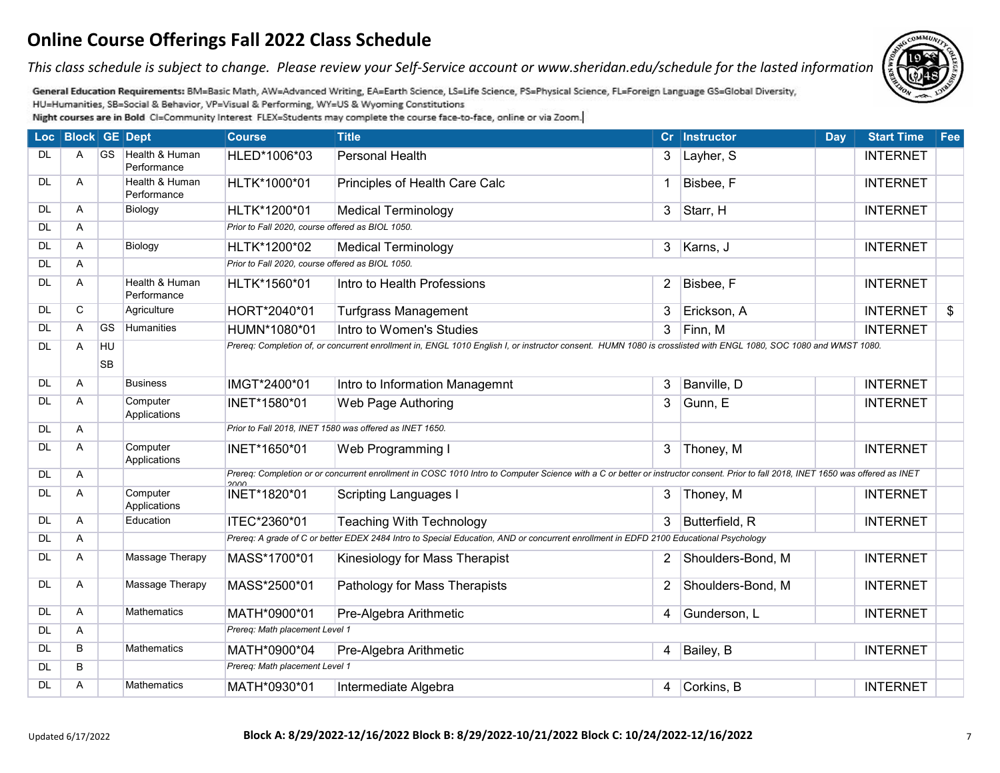*This class schedule is subject to change. Please review your Self-Service account or www.sheridan.edu/schedule for the lasted information.*



General Education Requirements: BM=Basic Math, AW=Advanced Writing, EA=Earth Science, LS=Life Science, PS=Physical Science, FL=Foreign Language GS=Global Diversity, HU=Humanities, SB=Social & Behavior, VP=Visual & Performing, WY=US & Wyoming Constitutions

|           | Loc Block GE Dept |           |                               | <b>Course</b>                                    | <b>Title</b>                                                                                                                                                                      |                | Cr Instructor     | <b>Day</b> | <b>Start Time</b> | Fee |
|-----------|-------------------|-----------|-------------------------------|--------------------------------------------------|-----------------------------------------------------------------------------------------------------------------------------------------------------------------------------------|----------------|-------------------|------------|-------------------|-----|
| <b>DL</b> | A                 | <b>GS</b> | Health & Human<br>Performance | HLED*1006*03                                     | <b>Personal Health</b>                                                                                                                                                            | 3              | Layher, S         |            | <b>INTERNET</b>   |     |
| <b>DL</b> | Α                 |           | Health & Human<br>Performance | HLTK*1000*01                                     | Principles of Health Care Calc                                                                                                                                                    | 1              | Bisbee, F         |            | <b>INTERNET</b>   |     |
| <b>DL</b> | Α                 |           | Biology                       | HLTK*1200*01                                     | <b>Medical Terminology</b>                                                                                                                                                        | 3              | Starr, H          |            | <b>INTERNET</b>   |     |
| <b>DL</b> | A                 |           |                               | Prior to Fall 2020, course offered as BIOL 1050. |                                                                                                                                                                                   |                |                   |            |                   |     |
| <b>DL</b> | A                 |           | Biology                       | HLTK*1200*02                                     | <b>Medical Terminology</b>                                                                                                                                                        | 3 <sup>1</sup> | Karns, J          |            | <b>INTERNET</b>   |     |
| <b>DL</b> | Α                 |           |                               | Prior to Fall 2020, course offered as BIOL 1050. |                                                                                                                                                                                   |                |                   |            |                   |     |
| <b>DL</b> | A                 |           | Health & Human<br>Performance | HLTK*1560*01                                     | Intro to Health Professions                                                                                                                                                       | $\overline{2}$ | Bisbee, F         |            | <b>INTERNET</b>   |     |
| <b>DL</b> | C                 |           | Agriculture                   | HORT*2040*01                                     | <b>Turfgrass Management</b>                                                                                                                                                       | 3              | Erickson, A       |            | <b>INTERNET</b>   | \$  |
| <b>DL</b> | A                 | <b>GS</b> | Humanities                    | HUMN*1080*01                                     | Intro to Women's Studies                                                                                                                                                          | 3              | Finn, M           |            | <b>INTERNET</b>   |     |
| <b>DL</b> | A                 | HU        |                               |                                                  | Prereq: Completion of, or concurrent enrollment in, ENGL 1010 English I, or instructor consent. HUMN 1080 is crosslisted with ENGL 1080, SOC 1080 and WMST 1080.                  |                |                   |            |                   |     |
|           |                   | <b>SB</b> |                               |                                                  |                                                                                                                                                                                   |                |                   |            |                   |     |
| <b>DL</b> | A                 |           | <b>Business</b>               | IMGT*2400*01                                     | Intro to Information Managemnt                                                                                                                                                    | 3              | Banville, D       |            | <b>INTERNET</b>   |     |
| <b>DL</b> | Α                 |           | Computer<br>Applications      | INET*1580*01                                     | Web Page Authoring                                                                                                                                                                | 3              | Gunn, E           |            | <b>INTERNET</b>   |     |
| <b>DL</b> | Α                 |           |                               |                                                  | Prior to Fall 2018, INET 1580 was offered as INET 1650.                                                                                                                           |                |                   |            |                   |     |
| <b>DL</b> | A                 |           | Computer<br>Applications      | INET*1650*01                                     | Web Programming I                                                                                                                                                                 | 3              | Thoney, M         |            | <b>INTERNET</b>   |     |
| <b>DL</b> | Α                 |           |                               | anna                                             | Prereq: Completion or or concurrent enrollment in COSC 1010 Intro to Computer Science with a C or better or instructor consent. Prior to fall 2018, INET 1650 was offered as INET |                |                   |            |                   |     |
| <b>DL</b> | Α                 |           | Computer<br>Applications      | INET*1820*01                                     | <b>Scripting Languages I</b>                                                                                                                                                      | 3              | Thoney, M         |            | <b>INTERNET</b>   |     |
| <b>DL</b> | Α                 |           | Education                     | ITEC*2360*01                                     | <b>Teaching With Technology</b>                                                                                                                                                   | 3              | Butterfield, R    |            | <b>INTERNET</b>   |     |
| <b>DL</b> | Α                 |           |                               |                                                  | Prereq: A grade of C or better EDEX 2484 Intro to Special Education, AND or concurrent enrollment in EDFD 2100 Educational Psychology                                             |                |                   |            |                   |     |
| <b>DL</b> | A                 |           | Massage Therapy               | MASS*1700*01                                     | Kinesiology for Mass Therapist                                                                                                                                                    | 2              | Shoulders-Bond, M |            | <b>INTERNET</b>   |     |
| <b>DL</b> | Α                 |           | Massage Therapy               | MASS*2500*01                                     | Pathology for Mass Therapists                                                                                                                                                     | $\overline{2}$ | Shoulders-Bond, M |            | <b>INTERNET</b>   |     |
| <b>DL</b> | Α                 |           | <b>Mathematics</b>            | MATH*0900*01                                     | Pre-Algebra Arithmetic                                                                                                                                                            | 4              | Gunderson, L      |            | <b>INTERNET</b>   |     |
| <b>DL</b> | Α                 |           |                               | Prereq: Math placement Level 1                   |                                                                                                                                                                                   |                |                   |            |                   |     |
| <b>DL</b> | B                 |           | <b>Mathematics</b>            | MATH*0900*04                                     | Pre-Algebra Arithmetic                                                                                                                                                            | 4              | Bailey, B         |            | <b>INTERNET</b>   |     |
| <b>DL</b> | B                 |           |                               | Prereq: Math placement Level 1                   |                                                                                                                                                                                   |                |                   |            |                   |     |
| <b>DL</b> | A                 |           | <b>Mathematics</b>            | MATH*0930*01                                     | Intermediate Algebra                                                                                                                                                              | 4              | Corkins, B        |            | <b>INTERNET</b>   |     |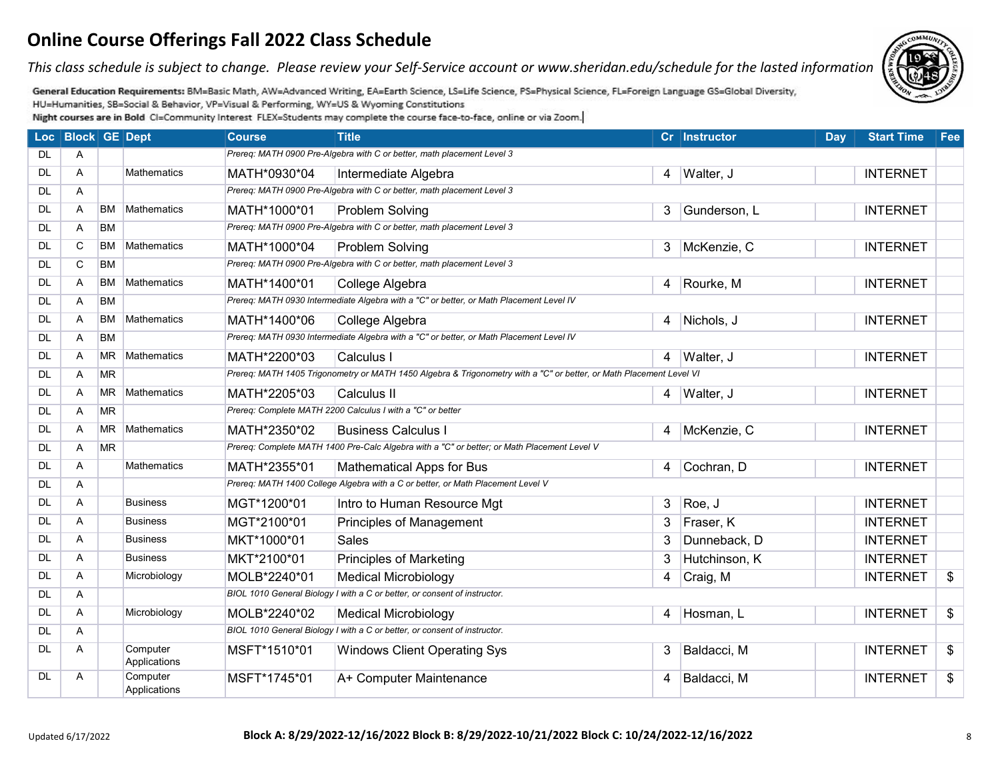*This class schedule is subject to change. Please review your Self-Service account or www.sheridan.edu/schedule for the lasted information.*

General Education Requirements: BM=Basic Math, AW=Advanced Writing, EA=Earth Science, LS=Life Science, PS=Physical Science, FL=Foreign Language GS=Global Diversity, HU=Humanities, SB=Social & Behavior, VP=Visual & Performing, WY=US & Wyoming Constitutions

|           | Loc   Block   GE   Dept |           |                          | <b>Course</b> | <b>Title</b>                                                                                                        |                | Cr Instructor | Day | <b>Start Time</b> | Fee |
|-----------|-------------------------|-----------|--------------------------|---------------|---------------------------------------------------------------------------------------------------------------------|----------------|---------------|-----|-------------------|-----|
| <b>DL</b> | A                       |           |                          |               | Prereq: MATH 0900 Pre-Algebra with C or better, math placement Level 3                                              |                |               |     |                   |     |
| <b>DL</b> | Α                       |           | <b>Mathematics</b>       | MATH*0930*04  | Intermediate Algebra                                                                                                |                | 4 Walter, J   |     | <b>INTERNET</b>   |     |
| <b>DL</b> | A                       |           |                          |               | Prereq: MATH 0900 Pre-Algebra with C or better, math placement Level 3                                              |                |               |     |                   |     |
| <b>DL</b> | Α                       | <b>BM</b> | Mathematics              | MATH*1000*01  | Problem Solving                                                                                                     | 3              | Gunderson, L  |     | <b>INTERNET</b>   |     |
| <b>DL</b> | Α                       | <b>BM</b> |                          |               | Prereq: MATH 0900 Pre-Algebra with C or better, math placement Level 3                                              |                |               |     |                   |     |
| <b>DL</b> | C                       | <b>BM</b> | Mathematics              | MATH*1000*04  | Problem Solving                                                                                                     | 3              | McKenzie, C   |     | <b>INTERNET</b>   |     |
| <b>DL</b> | C                       | <b>BM</b> |                          |               | Prereq: MATH 0900 Pre-Algebra with C or better, math placement Level 3                                              |                |               |     |                   |     |
| <b>DL</b> | Α                       | <b>BM</b> | Mathematics              | MATH*1400*01  | College Algebra                                                                                                     | 4              | Rourke, M     |     | <b>INTERNET</b>   |     |
| <b>DL</b> | A                       | <b>BM</b> |                          |               | Prereq: MATH 0930 Intermediate Algebra with a "C" or better, or Math Placement Level IV                             |                |               |     |                   |     |
| DL        | Α                       | <b>BM</b> | Mathematics              | MATH*1400*06  | College Algebra                                                                                                     |                | 4 Nichols, J  |     | <b>INTERNET</b>   |     |
| <b>DL</b> | A                       | <b>BM</b> |                          |               | Prereq: MATH 0930 Intermediate Algebra with a "C" or better, or Math Placement Level IV                             |                |               |     |                   |     |
| <b>DL</b> | A                       | <b>MR</b> | Mathematics              | MATH*2200*03  | Calculus I                                                                                                          | $\overline{4}$ | Walter, J     |     | <b>INTERNET</b>   |     |
| <b>DL</b> | Α                       | <b>MR</b> |                          |               | Prereq: MATH 1405 Trigonometry or MATH 1450 Algebra & Trigonometry with a "C" or better, or Math Placement Level VI |                |               |     |                   |     |
| <b>DL</b> | A                       | <b>MR</b> | Mathematics              | MATH*2205*03  | Calculus II                                                                                                         |                | 4 Walter, J   |     | <b>INTERNET</b>   |     |
| DL        | Α                       | <b>MR</b> |                          |               | Prereq: Complete MATH 2200 Calculus I with a "C" or better                                                          |                |               |     |                   |     |
| <b>DL</b> | A                       | <b>MR</b> | Mathematics              | MATH*2350*02  | <b>Business Calculus I</b>                                                                                          | 4              | McKenzie, C   |     | <b>INTERNET</b>   |     |
| DL        | Α                       | <b>MR</b> |                          |               | Prereq: Complete MATH 1400 Pre-Calc Algebra with a "C" or better; or Math Placement Level V                         |                |               |     |                   |     |
| <b>DL</b> | A                       |           | <b>Mathematics</b>       | MATH*2355*01  | <b>Mathematical Apps for Bus</b>                                                                                    | 4              | Cochran, D    |     | <b>INTERNET</b>   |     |
| <b>DL</b> | A                       |           |                          |               | Prereq: MATH 1400 College Algebra with a C or better, or Math Placement Level V                                     |                |               |     |                   |     |
| DL        | A                       |           | Business                 | MGT*1200*01   | Intro to Human Resource Mgt                                                                                         | 3              | Roe, J        |     | <b>INTERNET</b>   |     |
| <b>DL</b> | A                       |           | <b>Business</b>          | MGT*2100*01   | <b>Principles of Management</b>                                                                                     | 3              | Fraser, K     |     | <b>INTERNET</b>   |     |
| DL        | A                       |           | Business                 | MKT*1000*01   | <b>Sales</b>                                                                                                        | 3              | Dunneback, D  |     | <b>INTERNET</b>   |     |
| <b>DL</b> | A                       |           | <b>Business</b>          | MKT*2100*01   | <b>Principles of Marketing</b>                                                                                      | 3              | Hutchinson, K |     | <b>INTERNET</b>   |     |
| DL        | A                       |           | Microbiology             | MOLB*2240*01  | <b>Medical Microbiology</b>                                                                                         | 4              | Craig, M      |     | <b>INTERNET</b>   | \$  |
| <b>DL</b> | A                       |           |                          |               | BIOL 1010 General Biology I with a C or better, or consent of instructor.                                           |                |               |     |                   |     |
| <b>DL</b> | A                       |           | Microbiology             | MOLB*2240*02  | <b>Medical Microbiology</b>                                                                                         | $\overline{4}$ | Hosman, L     |     | <b>INTERNET</b>   | \$  |
| <b>DL</b> | A                       |           |                          |               | BIOL 1010 General Biology I with a C or better, or consent of instructor.                                           |                |               |     |                   |     |
| <b>DL</b> | A                       |           | Computer<br>Applications | MSFT*1510*01  | <b>Windows Client Operating Sys</b>                                                                                 | 3              | Baldacci, M   |     | <b>INTERNET</b>   | \$  |
| DL        | A                       |           | Computer<br>Applications | MSFT*1745*01  | A+ Computer Maintenance                                                                                             | 4              | Baldacci, M   |     | <b>INTERNET</b>   | \$  |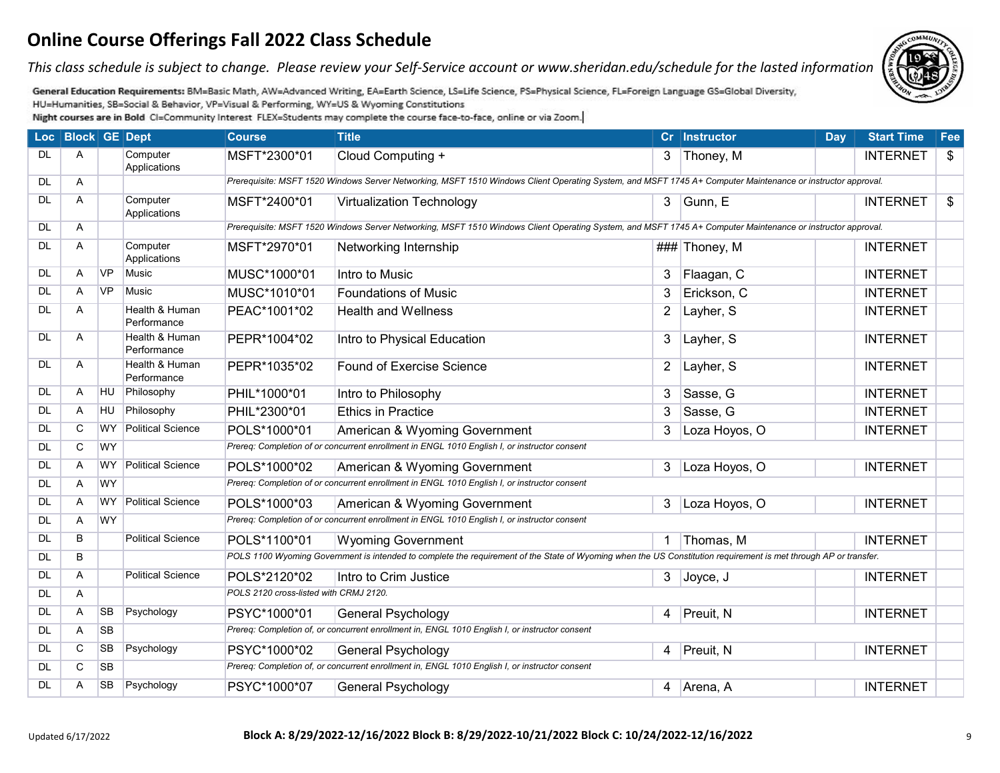*This class schedule is subject to change. Please review your Self-Service account or www.sheridan.edu/schedule for the lasted information.*



General Education Requirements: BM=Basic Math, AW=Advanced Writing, EA=Earth Science, LS=Life Science, PS=Physical Science, FL=Foreign Language GS=Global Diversity, HU=Humanities, SB=Social & Behavior, VP=Visual & Performing, WY=US & Wyoming Constitutions

|           | Loc   Block   GE   Dept |           |                               | <b>Course</b>                          | <b>Title</b>                                                                                                                                                     |                | Cr Instructor | <b>Day</b> | <b>Start Time</b> | Fee               |
|-----------|-------------------------|-----------|-------------------------------|----------------------------------------|------------------------------------------------------------------------------------------------------------------------------------------------------------------|----------------|---------------|------------|-------------------|-------------------|
| <b>DL</b> | A                       |           | Computer<br>Applications      | MSFT*2300*01                           | Cloud Computing +                                                                                                                                                |                | 3 Thoney, M   |            | <b>INTERNET</b>   | \$                |
| <b>DL</b> | Α                       |           |                               |                                        | Prerequisite: MSFT 1520 Windows Server Networking, MSFT 1510 Windows Client Operating System, and MSFT 1745 A+ Computer Maintenance or instructor approval.      |                |               |            |                   |                   |
| <b>DL</b> | A                       |           | Computer<br>Applications      | MSFT*2400*01                           | <b>Virtualization Technology</b>                                                                                                                                 | $\mathbf{3}$   | Gunn, E       |            | <b>INTERNET</b>   | $\boldsymbol{\$}$ |
| <b>DL</b> | A                       |           |                               |                                        | Prerequisite: MSFT 1520 Windows Server Networking, MSFT 1510 Windows Client Operating System, and MSFT 1745 A+ Computer Maintenance or instructor approval.      |                |               |            |                   |                   |
| DL        | A                       |           | Computer<br>Applications      | MSFT*2970*01                           | Networking Internship                                                                                                                                            |                | ### Thoney, M |            | <b>INTERNET</b>   |                   |
| DL.       | A                       | <b>VP</b> | Music                         | MUSC*1000*01                           | Intro to Music                                                                                                                                                   | 3              | Flaagan, C    |            | <b>INTERNET</b>   |                   |
| <b>DL</b> | A                       | <b>VP</b> | <b>Music</b>                  | MUSC*1010*01                           | <b>Foundations of Music</b>                                                                                                                                      | 3              | Erickson, C   |            | <b>INTERNET</b>   |                   |
| DL.       | A                       |           | Health & Human<br>Performance | PEAC*1001*02                           | <b>Health and Wellness</b>                                                                                                                                       | $\overline{2}$ | Layher, S     |            | <b>INTERNET</b>   |                   |
| <b>DL</b> | Α                       |           | Health & Human<br>Performance | PEPR*1004*02                           | Intro to Physical Education                                                                                                                                      | $\mathbf{3}$   | Layher, S     |            | <b>INTERNET</b>   |                   |
| DL        | Α                       |           | Health & Human<br>Performance | PEPR*1035*02                           | <b>Found of Exercise Science</b>                                                                                                                                 | $\mathbf{2}$   | Layher, S     |            | <b>INTERNET</b>   |                   |
| <b>DL</b> | Α                       | HU        | Philosophy                    | PHIL*1000*01                           | Intro to Philosophy                                                                                                                                              | 3              | Sasse, G      |            | <b>INTERNET</b>   |                   |
| <b>DL</b> | A                       | HU        | Philosophy                    | PHIL*2300*01                           | <b>Ethics in Practice</b>                                                                                                                                        | 3              | Sasse, G      |            | <b>INTERNET</b>   |                   |
| <b>DL</b> | C                       | <b>WY</b> | <b>Political Science</b>      | POLS*1000*01                           | American & Wyoming Government                                                                                                                                    | 3              | Loza Hoyos, O |            | <b>INTERNET</b>   |                   |
| <b>DL</b> | C                       | <b>WY</b> |                               |                                        | Prereq: Completion of or concurrent enrollment in ENGL 1010 English I, or instructor consent                                                                     |                |               |            |                   |                   |
| <b>DL</b> | A                       | <b>WY</b> | Political Science             | POLS*1000*02                           | American & Wyoming Government                                                                                                                                    | 3              | Loza Hoyos, O |            | <b>INTERNET</b>   |                   |
| <b>DL</b> | Α                       | <b>WY</b> |                               |                                        | Prereq: Completion of or concurrent enrollment in ENGL 1010 English I, or instructor consent                                                                     |                |               |            |                   |                   |
| <b>DL</b> | $\overline{A}$          | <b>WY</b> | Political Science             | POLS*1000*03                           | American & Wyoming Government                                                                                                                                    | 3              | Loza Hoyos, O |            | <b>INTERNET</b>   |                   |
| <b>DL</b> | Α                       | <b>WY</b> |                               |                                        | Prereq: Completion of or concurrent enrollment in ENGL 1010 English I, or instructor consent                                                                     |                |               |            |                   |                   |
| <b>DL</b> | B                       |           | <b>Political Science</b>      | POLS*1100*01                           | <b>Wyoming Government</b>                                                                                                                                        |                | Thomas, M     |            | <b>INTERNET</b>   |                   |
| DL        | B                       |           |                               |                                        | POLS 1100 Wyoming Government is intended to complete the requirement of the State of Wyoming when the US Constitution requirement is met through AP or transfer. |                |               |            |                   |                   |
| <b>DL</b> | Α                       |           | <b>Political Science</b>      | POLS*2120*02                           | Intro to Crim Justice                                                                                                                                            | 3              | Joyce, J      |            | <b>INTERNET</b>   |                   |
| DL.       | Α                       |           |                               | POLS 2120 cross-listed with CRMJ 2120. |                                                                                                                                                                  |                |               |            |                   |                   |
| <b>DL</b> | Α                       | <b>SB</b> | Psychology                    | PSYC*1000*01                           | <b>General Psychology</b>                                                                                                                                        | 4 <sup>1</sup> | Preuit, N     |            | <b>INTERNET</b>   |                   |
| <b>DL</b> | A                       | <b>SB</b> |                               |                                        | Prereq: Completion of, or concurrent enrollment in, ENGL 1010 English I, or instructor consent                                                                   |                |               |            |                   |                   |
| DL.       | C                       | <b>SB</b> | Psychology                    | PSYC*1000*02                           | General Psychology                                                                                                                                               | $\overline{4}$ | Preuit, N     |            | <b>INTERNET</b>   |                   |
| <b>DL</b> | $\mathbf C$             | <b>SB</b> |                               |                                        | Prereq: Completion of, or concurrent enrollment in, ENGL 1010 English I, or instructor consent                                                                   |                |               |            |                   |                   |
| DL.       | A                       | <b>SB</b> | Psychology                    | PSYC*1000*07                           | <b>General Psychology</b>                                                                                                                                        |                | 4 Arena, A    |            | <b>INTERNET</b>   |                   |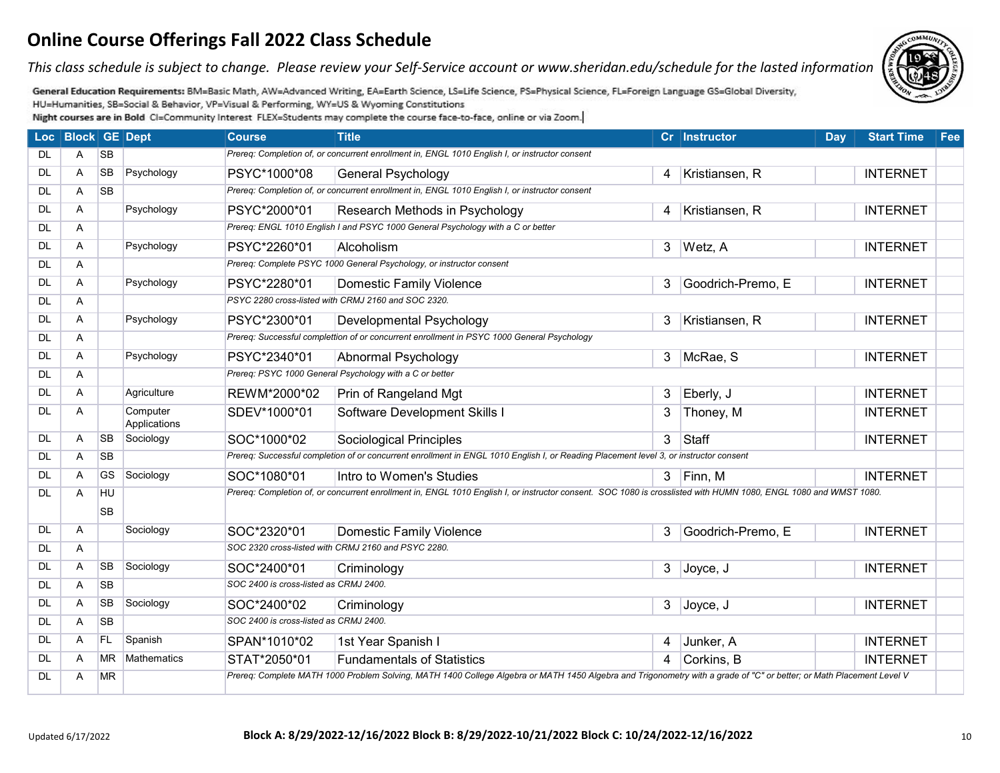*This class schedule is subject to change. Please review your Self-Service account or www.sheridan.edu/schedule for the lasted information.*

General Education Requirements: BM=Basic Math, AW=Advanced Writing, EA=Earth Science, LS=Life Science, PS=Physical Science, FL=Foreign Language GS=Global Diversity, HU=Humanities, SB=Social & Behavior, VP=Visual & Performing, WY=US & Wyoming Constitutions

|           | Loc Block GE Dept |                 |                          | <b>Course</b>                          | <b>Title</b>                                                                                                                                                         |                | Cr Instructor     | <b>Day</b> | <b>Start Time</b> | Fee |
|-----------|-------------------|-----------------|--------------------------|----------------------------------------|----------------------------------------------------------------------------------------------------------------------------------------------------------------------|----------------|-------------------|------------|-------------------|-----|
| DL.       | A                 | <b>SB</b>       |                          |                                        | Prereq: Completion of, or concurrent enrollment in, ENGL 1010 English I, or instructor consent                                                                       |                |                   |            |                   |     |
| <b>DL</b> | Α                 | <b>SB</b>       | Psychology               | PSYC*1000*08                           | <b>General Psychology</b>                                                                                                                                            | 4              | Kristiansen, R    |            | <b>INTERNET</b>   |     |
| <b>DL</b> | Α                 | <b>SB</b>       |                          |                                        | Prereq: Completion of, or concurrent enrollment in, ENGL 1010 English I, or instructor consent                                                                       |                |                   |            |                   |     |
| <b>DL</b> | $\overline{A}$    |                 | Psychology               | PSYC*2000*01                           | Research Methods in Psychology                                                                                                                                       | 4              | Kristiansen, R    |            | <b>INTERNET</b>   |     |
| <b>DL</b> | A                 |                 |                          |                                        | Prereq: ENGL 1010 English I and PSYC 1000 General Psychology with a C or better                                                                                      |                |                   |            |                   |     |
| <b>DL</b> | A                 |                 | Psychology               | PSYC*2260*01                           | Alcoholism                                                                                                                                                           |                | 3 Wetz, A         |            | <b>INTERNET</b>   |     |
| <b>DL</b> | Α                 |                 |                          |                                        | Prereq: Complete PSYC 1000 General Psychology, or instructor consent                                                                                                 |                |                   |            |                   |     |
| <b>DL</b> | Α                 |                 | Psychology               | PSYC*2280*01                           | <b>Domestic Family Violence</b>                                                                                                                                      | 3              | Goodrich-Premo, E |            | <b>INTERNET</b>   |     |
| <b>DL</b> | A                 |                 |                          |                                        | PSYC 2280 cross-listed with CRMJ 2160 and SOC 2320.                                                                                                                  |                |                   |            |                   |     |
| <b>DL</b> | A                 |                 | Psychology               | PSYC*2300*01                           | Developmental Psychology                                                                                                                                             | 3              | Kristiansen, R    |            | <b>INTERNET</b>   |     |
| <b>DL</b> | A                 |                 |                          |                                        | Prereq: Successful complettion of or concurrent enrollment in PSYC 1000 General Psychology                                                                           |                |                   |            |                   |     |
| <b>DL</b> | A                 |                 | Psychology               | PSYC*2340*01                           | Abnormal Psychology                                                                                                                                                  |                | 3 McRae, S        |            | <b>INTERNET</b>   |     |
| <b>DL</b> | A                 |                 |                          |                                        | Prereq: PSYC 1000 General Psychology with a C or better                                                                                                              |                |                   |            |                   |     |
| <b>DL</b> | A                 |                 | Agriculture              | REWM*2000*02                           | Prin of Rangeland Mgt                                                                                                                                                | 3              | Eberly, J         |            | <b>INTERNET</b>   |     |
| <b>DL</b> | A                 |                 | Computer<br>Applications | SDEV*1000*01                           | Software Development Skills I                                                                                                                                        | 3              | Thoney, M         |            | <b>INTERNET</b>   |     |
| <b>DL</b> | A                 | <b>SB</b>       | Sociology                | SOC*1000*02                            | Sociological Principles                                                                                                                                              | 3              | Staff             |            | <b>INTERNET</b>   |     |
| <b>DL</b> | A                 | <b>SB</b>       |                          |                                        | Prereq: Successful completion of or concurrent enrollment in ENGL 1010 English I, or Reading Placement level 3, or instructor consent                                |                |                   |            |                   |     |
| <b>DL</b> | $\overline{A}$    | <b>GS</b>       | Sociology                | SOC*1080*01                            | Intro to Women's Studies                                                                                                                                             |                | $3$  Finn, M      |            | <b>INTERNET</b>   |     |
| <b>DL</b> | Α                 | HU<br><b>SB</b> |                          |                                        | Prereq: Completion of, or concurrent enrollment in, ENGL 1010 English I, or instructor consent. SOC 1080 is crosslisted with HUMN 1080, ENGL 1080 and WMST 1080.     |                |                   |            |                   |     |
| <b>DL</b> | A                 |                 | Sociology                | SOC*2320*01                            | Domestic Family Violence                                                                                                                                             | 3              | Goodrich-Premo, E |            | <b>INTERNET</b>   |     |
| <b>DL</b> | $\mathsf{A}$      |                 |                          |                                        | SOC 2320 cross-listed with CRMJ 2160 and PSYC 2280.                                                                                                                  |                |                   |            |                   |     |
| DL        | Α                 | <b>SB</b>       | Sociology                | SOC*2400*01                            | Criminology                                                                                                                                                          | 3 <sup>1</sup> | Joyce, J          |            | <b>INTERNET</b>   |     |
| <b>DL</b> | Α                 | <b>SB</b>       |                          | SOC 2400 is cross-listed as CRMJ 2400. |                                                                                                                                                                      |                |                   |            |                   |     |
| <b>DL</b> | A                 | <b>SB</b>       | Sociology                | SOC*2400*02                            | Criminology                                                                                                                                                          | 3 <sup>1</sup> | Joyce, J          |            | <b>INTERNET</b>   |     |
| <b>DL</b> | $\overline{A}$    | <b>SB</b>       |                          | SOC 2400 is cross-listed as CRMJ 2400. |                                                                                                                                                                      |                |                   |            |                   |     |
| DL.       | A                 | FL.             | Spanish                  | SPAN*1010*02                           | 1st Year Spanish I                                                                                                                                                   | $\overline{4}$ | Junker, A         |            | <b>INTERNET</b>   |     |
| <b>DL</b> | A                 | <b>MR</b>       | <b>Mathematics</b>       | STAT*2050*01                           | <b>Fundamentals of Statistics</b>                                                                                                                                    | $\overline{4}$ | Corkins, B        |            | <b>INTERNET</b>   |     |
| <b>DL</b> | Α                 | <b>MR</b>       |                          |                                        | Prereq: Complete MATH 1000 Problem Solving, MATH 1400 College Algebra or MATH 1450 Algebra and Trigonometry with a grade of "C" or better; or Math Placement Level V |                |                   |            |                   |     |